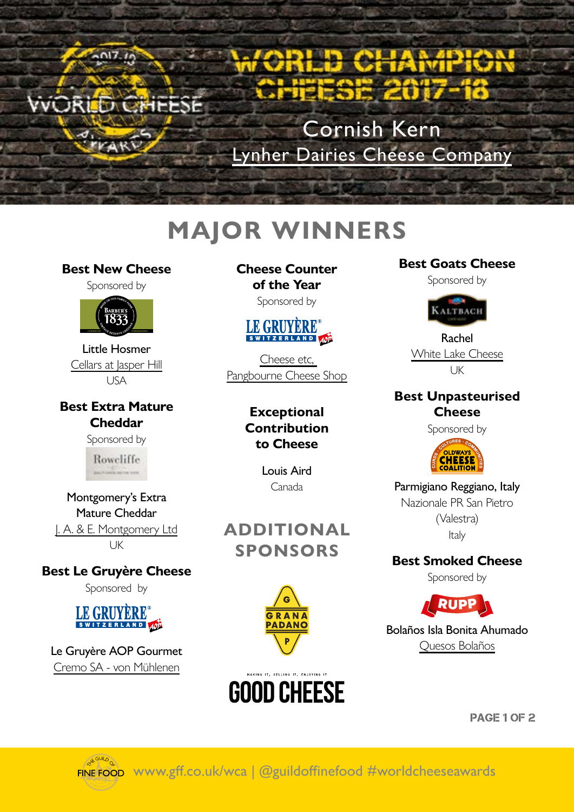

Cornish Kern [Lynher Dairies Cheese Company](http://www.lynherdairies.co.uk)

## **MAJOR WINNERS**

#### **Best New Cheese**

 $2017.19$ 

VVORED CHEESE

Sponsored by



Little Hosmer [Cellars at Jasper Hill](http://jasperhillfarm.com) [USA](http://jasperhillfarm.com)

**Best Extra Mature Cheddar**

Sponsored by

Roweliffe

Montgomery's Extra Mature Cheddar [J. A. & E. Montgomery Ltd](http://www.montgomerycheese.co.uk/) UK

**Best Le Gruyère Cheese** Sponsored by

#### LE GRUYERE<sup>®</sup> SWITZERLAND AOP

Le Gruyère AOP Gourmet [Cremo SA - von Mühlenen](http://www.cremo.ch)

**Cheese Counter of the Year**

Sponsored by



[Cheese etc,](http://cheese-etc.co.uk)  [Pangbourne Cheese Shop](http://cheese-etc.co.uk)

> **Exceptional Contribution to Cheese**

> > Louis Aird Canada

**ADDITIONAL SPONSORS**



# **GOOD CHEESE**

#### **Best Goats Cheese**

Sponsored by



Rachel [White Lake Cheese](http://www.whitelake.co.uk/
) UK

#### **Best Unpasteurised Cheese**

Sponsored by



Parmigiano Reggiano, Italy Nazionale PR San Pietro (Valestra) Italy

**Best Smoked Cheese** 

Sponsored by



Bolaños Isla Bonita Ahumado [Quesos Bolaños](http://www.quesosmhb.es)

PAGE 1 OF 2